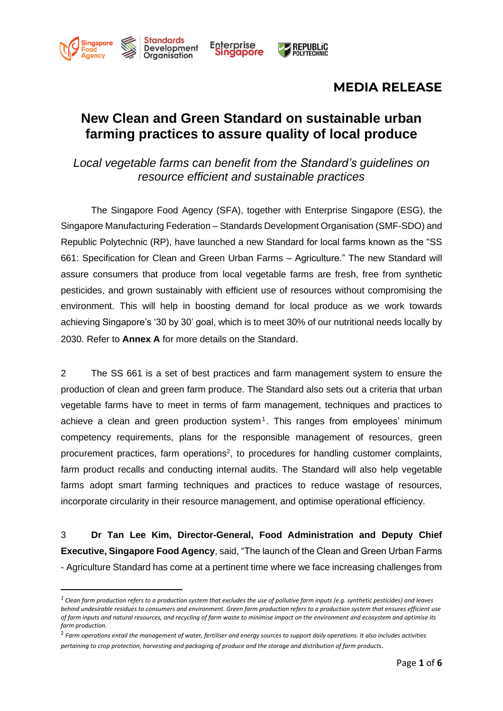

# **New Clean and Green Standard on sustainable urban farming practices to assure quality of local produce**

*Local vegetable farms can benefit from the Standard's guidelines on resource efficient and sustainable practices*

The Singapore Food Agency (SFA), together with Enterprise Singapore (ESG), the Singapore Manufacturing Federation – Standards Development Organisation (SMF-SDO) and Republic Polytechnic (RP), have launched a new Standard for local farms known as the "SS 661: Specification for Clean and Green Urban Farms – Agriculture." The new Standard will assure consumers that produce from local vegetable farms are fresh, free from synthetic pesticides, and grown sustainably with efficient use of resources without compromising the environment. This will help in boosting demand for local produce as we work towards achieving Singapore's '30 by 30' goal, which is to meet 30% of our nutritional needs locally by 2030. Refer to **Annex A** for more details on the Standard.

2 The SS 661 is a set of best practices and farm management system to ensure the production of clean and green farm produce. The Standard also sets out a criteria that urban vegetable farms have to meet in terms of farm management, techniques and practices to achieve a clean and green production system<sup>1</sup>. This ranges from employees' minimum competency requirements, plans for the responsible management of resources, green procurement practices, farm operations<sup>2</sup>, to procedures for handling customer complaints, farm product recalls and conducting internal audits. The Standard will also help vegetable farms adopt smart farming techniques and practices to reduce wastage of resources, incorporate circularity in their resource management, and optimise operational efficiency.

3 **Dr Tan Lee Kim, Director-General, Food Administration and Deputy Chief Executive, Singapore Food Agency**, said, "The launch of the Clean and Green Urban Farms - Agriculture Standard has come at a pertinent time where we face increasing challenges from

 $^{\rm 1}$  Clean farm production refers to a production system that excludes the use of pollutive farm inputs (e.g. synthetic pesticides) and leaves *behind undesirable residues to consumers and environment. Green farm production refers to a production system that ensures efficient use of farm inputs and natural resources, and recycling of farm waste to minimise impact on the environment and ecosystem and optimise its farm production.*

<sup>2</sup> *Farm operations entail the management of water, fertiliser and energy sources to support daily operations. It also includes activities pertaining to crop protection, harvesting and packaging of produce and the storage and distribution of farm products*.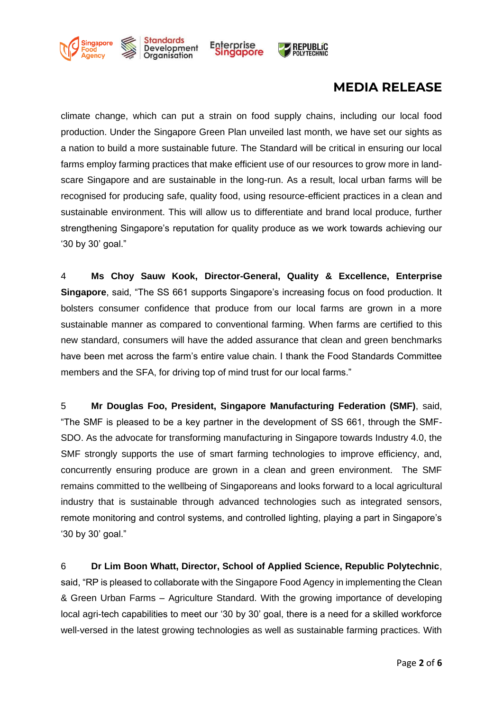

climate change, which can put a strain on food supply chains, including our local food production. Under the Singapore Green Plan unveiled last month, we have set our sights as a nation to build a more sustainable future. The Standard will be critical in ensuring our local farms employ farming practices that make efficient use of our resources to grow more in landscare Singapore and are sustainable in the long-run. As a result, local urban farms will be recognised for producing safe, quality food, using resource-efficient practices in a clean and sustainable environment. This will allow us to differentiate and brand local produce, further strengthening Singapore's reputation for quality produce as we work towards achieving our '30 by 30' goal."

4 **Ms Choy Sauw Kook, Director-General, Quality & Excellence, Enterprise Singapore**, said, "The SS 661 supports Singapore's increasing focus on food production. It bolsters consumer confidence that produce from our local farms are grown in a more sustainable manner as compared to conventional farming. When farms are certified to this new standard, consumers will have the added assurance that clean and green benchmarks have been met across the farm's entire value chain. I thank the Food Standards Committee members and the SFA, for driving top of mind trust for our local farms."

5 **Mr Douglas Foo, President, Singapore Manufacturing Federation (SMF)**, said, "The SMF is pleased to be a key partner in the development of SS 661, through the SMF-SDO. As the advocate for transforming manufacturing in Singapore towards Industry 4.0, the SMF strongly supports the use of smart farming technologies to improve efficiency, and, concurrently ensuring produce are grown in a clean and green environment. The SMF remains committed to the wellbeing of Singaporeans and looks forward to a local agricultural industry that is sustainable through advanced technologies such as integrated sensors, remote monitoring and control systems, and controlled lighting, playing a part in Singapore's '30 by 30' goal."

6 **Dr Lim Boon Whatt, Director, School of Applied Science, Republic Polytechnic**, said, "RP is pleased to collaborate with the Singapore Food Agency in implementing the Clean & Green Urban Farms – Agriculture Standard. With the growing importance of developing local agri-tech capabilities to meet our '30 by 30' goal, there is a need for a skilled workforce well-versed in the latest growing technologies as well as sustainable farming practices. With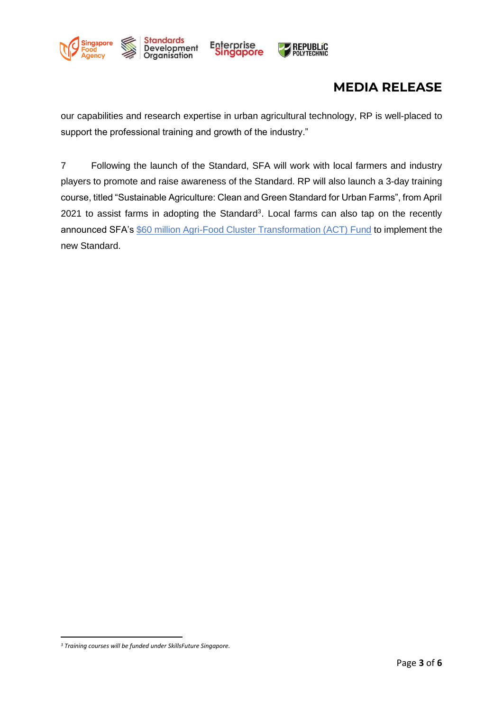

our capabilities and research expertise in urban agricultural technology, RP is well-placed to support the professional training and growth of the industry."

7 Following the launch of the Standard, SFA will work with local farmers and industry players to promote and raise awareness of the Standard. RP will also launch a 3-day training course, titled "Sustainable Agriculture: Clean and Green Standard for Urban Farms", from April 2021 to assist farms in adopting the Standard<sup>3</sup>. Local farms can also tap on the recently announced SFA's [\\$60 million Agri-Food Cluster Transformation \(ACT\) Fund](https://www.google.com/url?client=internal-element-cse&cx=016123782938375128408:p4clz0yqkiq&q=https://www.sfa.gov.sg/docs/default-source/default-document-library/sfa-media-release---new-60-million-fund-to-support-transformation-and-growth-of-local-agri-food-sector.pdf&sa=U&ved=2ahUKEwirgLDEy8XvAhXTmeYKHRn5Dq0QFjABegQICBAC&usg=AOvVaw2kxLxemV0MF-rlE5Yi9ARJ) to implement the new Standard.

*<sup>3</sup> Training courses will be funded under SkillsFuture Singapore.*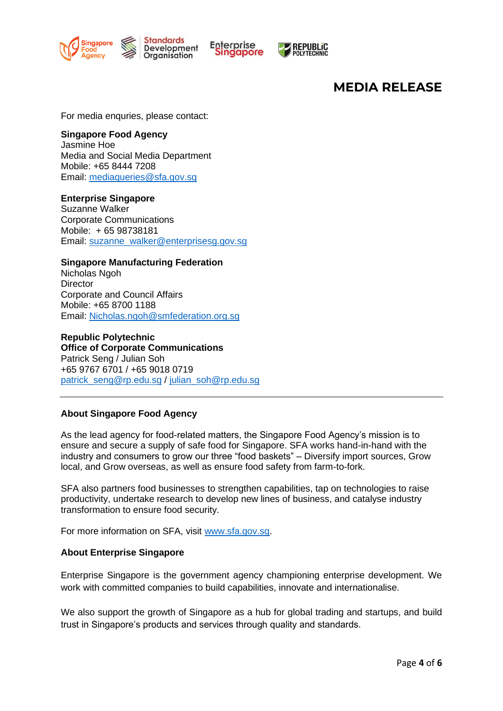



For media enquries, please contact:

### **Singapore Food Agency**

Jasmine Hoe Media and Social Media Department Mobile: +65 8444 7208 Email: [mediaqueries@sfa.gov.sg](mailto:mediaqueries@sfa.gov.sg)

### **Enterprise Singapore**

Suzanne Walker Corporate Communications Mobile: + 65 98738181 Email: [suzanne\\_walker@enterprisesg.gov.sg](mailto:suzanne_walker@enterprisesg.gov.sg)

#### **Singapore Manufacturing Federation**  Nicholas Ngoh **Director** Corporate and Council Affairs Mobile: +65 8700 1188 Email: [Nicholas.ngoh@smfederation.org.sg](mailto:Nicholas.ngoh@smfederation.org.sg)

### **Republic Polytechnic Office of Corporate Communications**  Patrick Seng / Julian Soh +65 9767 6701 / +65 9018 0719 [patrick\\_seng@rp.edu.sg](mailto:patrick_seng@rp.edu.sg) / julian\_soh@rp.edu.sq

## **About Singapore Food Agency**

As the lead agency for food-related matters, the Singapore Food Agency's mission is to ensure and secure a supply of safe food for Singapore. SFA works hand-in-hand with the industry and consumers to grow our three "food baskets" – Diversify import sources, Grow local, and Grow overseas, as well as ensure food safety from farm-to-fork.

SFA also partners food businesses to strengthen capabilities, tap on technologies to raise productivity, undertake research to develop new lines of business, and catalyse industry transformation to ensure food security.

For more information on SFA, visit [www.sfa.gov.sg.](http://www.sfa.gov.sg/)

## **About Enterprise Singapore**

Enterprise Singapore is the government agency championing enterprise development. We work with committed companies to build capabilities, innovate and internationalise.

We also support the growth of Singapore as a hub for global trading and startups, and build trust in Singapore's products and services through quality and standards.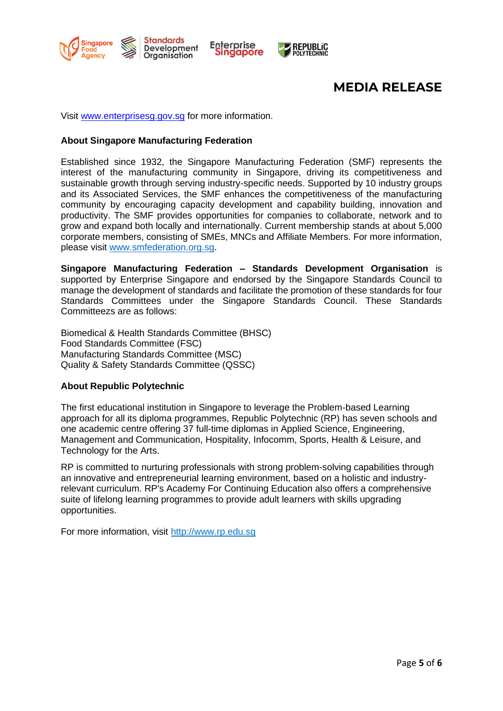

**REPUBLIC**<br>POLYTECHNIC

Visit [www.enterprisesg.gov.sg](http://www.enterprisesg.gov.sg/) for more information.

#### **About Singapore Manufacturing Federation**

Established since 1932, the Singapore Manufacturing Federation (SMF) represents the interest of the manufacturing community in Singapore, driving its competitiveness and sustainable growth through serving industry-specific needs. Supported by 10 industry groups and its Associated Services, the SMF enhances the competitiveness of the manufacturing community by encouraging capacity development and capability building, innovation and productivity. The SMF provides opportunities for companies to collaborate, network and to grow and expand both locally and internationally. Current membership stands at about 5,000 corporate members, consisting of SMEs, MNCs and Affiliate Members. For more information, please visit [www.smfederation.org.sg.](http://www.smfederation.org.sg/)

**Singapore Manufacturing Federation – Standards Development Organisation** is supported by Enterprise Singapore and endorsed by the Singapore Standards Council to manage the development of standards and facilitate the promotion of these standards for four Standards Committees under the Singapore Standards Council. These Standards Committeezs are as follows:

Biomedical & Health Standards Committee (BHSC) Food Standards Committee (FSC) Manufacturing Standards Committee (MSC) Quality & Safety Standards Committee (QSSC)

## **About Republic Polytechnic**

The first educational institution in Singapore to leverage the Problem-based Learning approach for all its diploma programmes, Republic Polytechnic (RP) has seven schools and one academic centre offering 37 full-time diplomas in Applied Science, Engineering, Management and Communication, Hospitality, Infocomm, Sports, Health & Leisure, and Technology for the Arts.

RP is committed to nurturing professionals with strong problem-solving capabilities through an innovative and entrepreneurial learning environment, based on a holistic and industryrelevant curriculum. RP's Academy For Continuing Education also offers a comprehensive suite of lifelong learning programmes to provide adult learners with skills upgrading opportunities.

For more information, visit [http://www.rp.edu.sg](http://www.rp.edu.sg/)